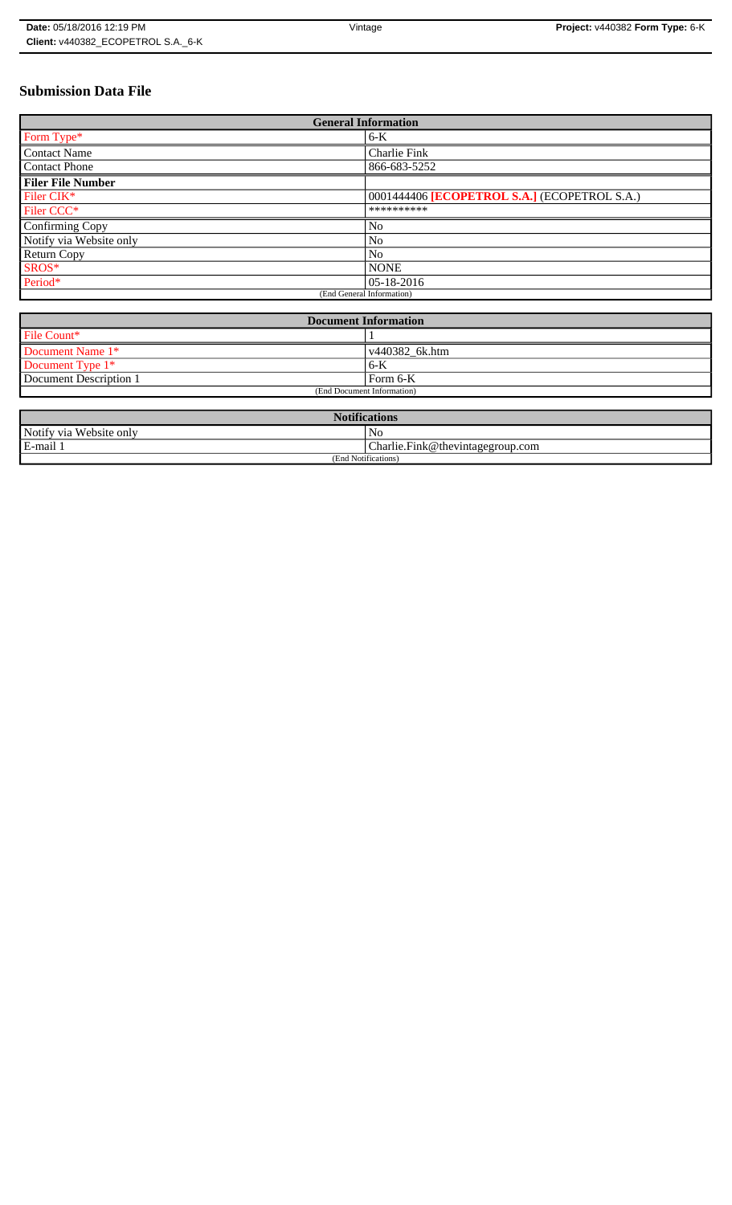# **Submission Data File**

| <b>General Information</b> |                                              |
|----------------------------|----------------------------------------------|
| Form Type*                 | $6-K$                                        |
| <b>Contact Name</b>        | Charlie Fink                                 |
| <b>Contact Phone</b>       | 866-683-5252                                 |
| <b>Filer File Number</b>   |                                              |
| Filer CIK*                 | 0001444406 [ECOPETROL S.A.] (ECOPETROL S.A.) |
| Filer CCC <sup>*</sup>     | **********                                   |
| Confirming Copy            | No                                           |
| Notify via Website only    | N <sub>o</sub>                               |
| <b>Return Copy</b>         | N <sub>o</sub>                               |
| SROS*                      | <b>NONE</b>                                  |
| Period*                    | 105-18-2016                                  |
| (End General Information)  |                                              |

| <b>Document Information</b> |                |
|-----------------------------|----------------|
| File Count*                 |                |
| Document Name 1*            | v440382 6k.htm |
| Document Type 1*            | $6 - K$        |
| Document Description 1      | Form 6-K       |
| (End Document Information)  |                |

| <b>Notifications</b>         |                                  |  |
|------------------------------|----------------------------------|--|
| Notify via<br>u Website only | No                               |  |
| E-mail 1                     | Charlie.Fink@thevintagegroup.com |  |
| (End Notifications)          |                                  |  |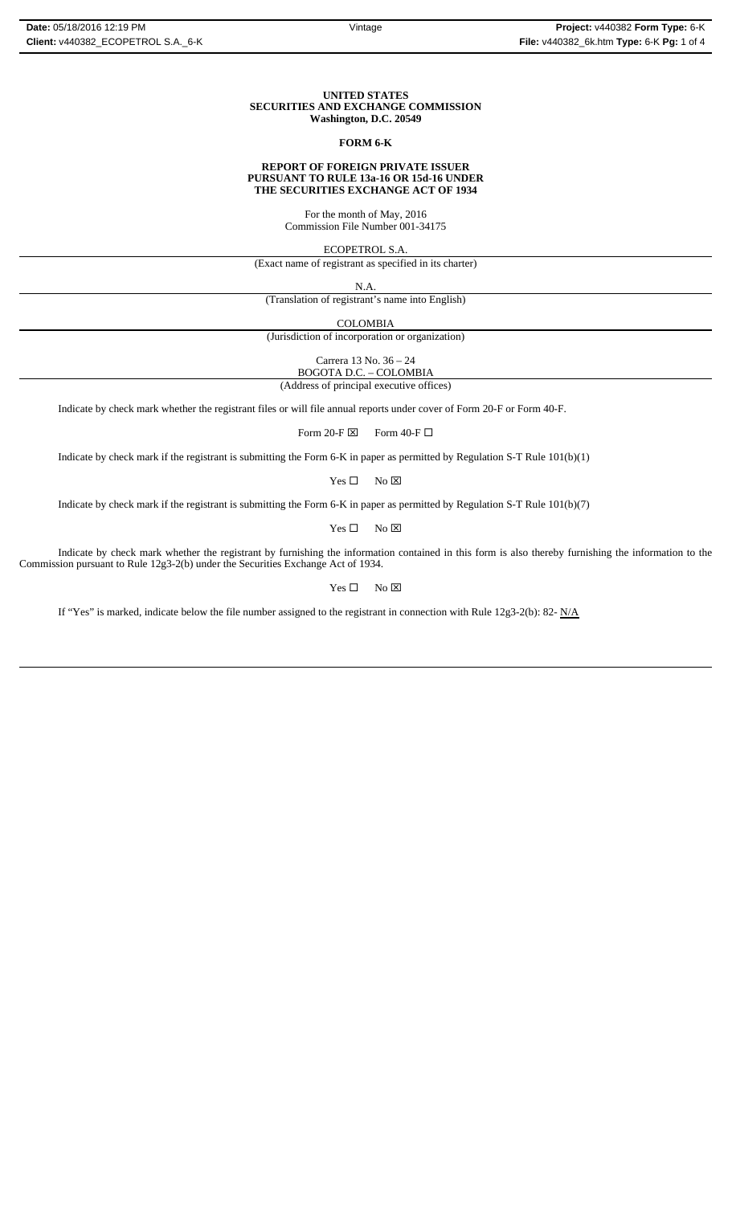#### **UNITED STATES SECURITIES AND EXCHANGE COMMISSION Washington, D.C. 20549**

#### **FORM 6-K**

#### **REPORT OF FOREIGN PRIVATE ISSUER PURSUANT TO RULE 13a-16 OR 15d-16 UNDER THE SECURITIES EXCHANGE ACT OF 1934**

For the month of May, 2016 Commission File Number 001-34175

ECOPETROL S.A.

(Exact name of registrant as specified in its charter)

N.A.

(Translation of registrant's name into English)

COLOMBIA

(Jurisdiction of incorporation or organization)

Carrera 13 No. 36 – 24

BOGOTA D.C. – COLOMBIA

(Address of principal executive offices)

Indicate by check mark whether the registrant files or will file annual reports under cover of Form 20-F or Form 40-F.

Form 20-F  $\boxtimes$  Form 40-F  $\Box$ 

Indicate by check mark if the registrant is submitting the Form 6-K in paper as permitted by Regulation S-T Rule 101(b)(1)

 $Yes \Box$  No  $\boxtimes$ 

Indicate by check mark if the registrant is submitting the Form 6-K in paper as permitted by Regulation S-T Rule 101(b)(7)

 $Yes \Box$  No  $\boxtimes$ 

Indicate by check mark whether the registrant by furnishing the information contained in this form is also thereby furnishing the information to the Commission pursuant to Rule 12g3-2(b) under the Securities Exchange Act of 1934.

 $Yes \Box$  No  $\overline{\boxtimes}$ 

If "Yes" is marked, indicate below the file number assigned to the registrant in connection with Rule 12g3-2(b): 82- N/A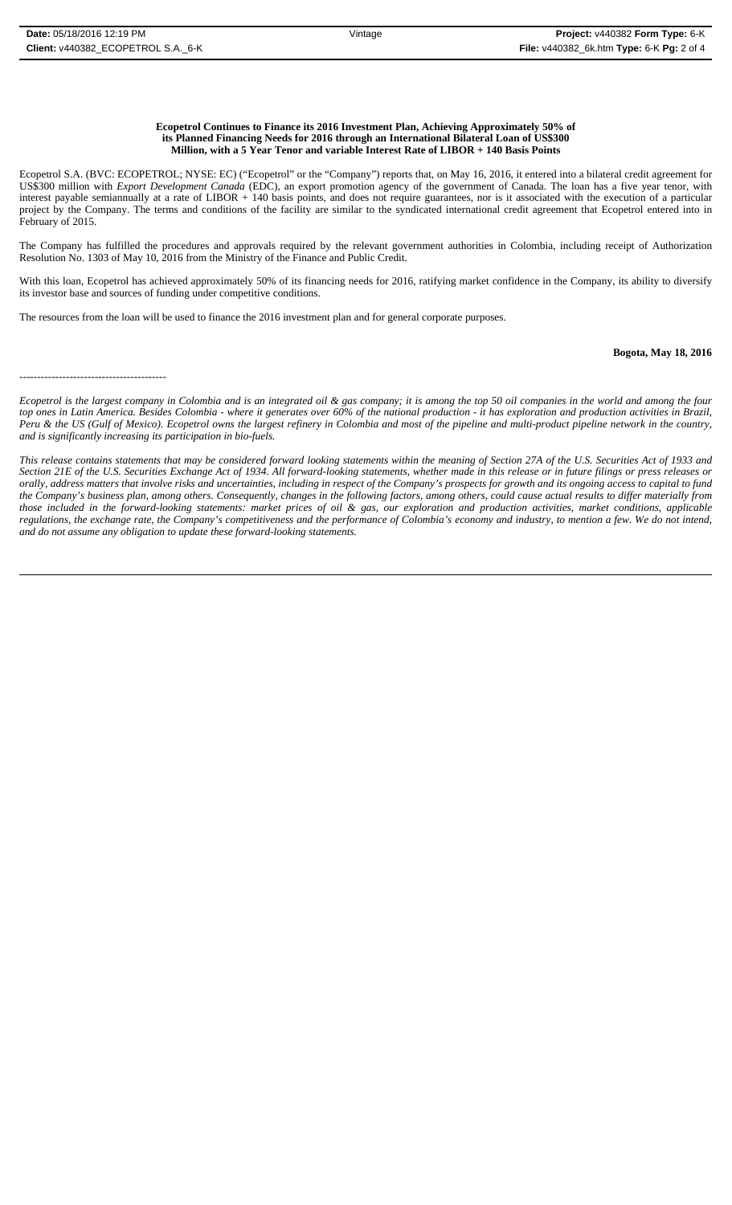#### **Ecopetrol Continues to Finance its 2016 Investment Plan, Achieving Approximately 50% of its Planned Financing Needs for 2016 through an International Bilateral Loan of US\$300 Million, with a 5 Year Tenor and variable Interest Rate of LIBOR + 140 Basis Points**

Ecopetrol S.A. (BVC: ECOPETROL; NYSE: EC) ("Ecopetrol" or the "Company") reports that, on May 16, 2016, it entered into a bilateral credit agreement for US\$300 million with *Export Development Canada* (EDC), an export promotion agency of the government of Canada. The loan has a five year tenor, with interest payable semiannually at a rate of LIBOR + 140 basis points, and does not require guarantees, nor is it associated with the execution of a particular project by the Company. The terms and conditions of the facility are similar to the syndicated international credit agreement that Ecopetrol entered into in February of 2015.

The Company has fulfilled the procedures and approvals required by the relevant government authorities in Colombia, including receipt of Authorization Resolution No. 1303 of May 10, 2016 from the Ministry of the Finance and Public Credit.

With this loan, Ecopetrol has achieved approximately 50% of its financing needs for 2016, ratifying market confidence in the Company, its ability to diversify its investor base and sources of funding under competitive conditions.

The resources from the loan will be used to finance the 2016 investment plan and for general corporate purposes.

## **Bogota, May 18, 2016**

-----------------------------------------

*Ecopetrol is the largest company in Colombia and is an integrated oil & gas company; it is among the top 50 oil companies in the world and among the four top ones in Latin America. Besides Colombia - where it generates over 60% of the national production - it has exploration and production activities in Brazil, Peru & the US (Gulf of Mexico). Ecopetrol owns the largest refinery in Colombia and most of the pipeline and multi-product pipeline network in the country, and is significantly increasing its participation in bio-fuels.*

*This release contains statements that may be considered forward looking statements within the meaning of Section 27A of the U.S. Securities Act of 1933 and Section 21E of the U.S. Securities Exchange Act of 1934. All forward-looking statements, whether made in this release or in future filings or press releases or orally, address matters that involve risks and uncertainties, including in respect of the Company's prospects for growth and its ongoing access to capital to fund the Company's business plan, among others. Consequently, changes in the following factors, among others, could cause actual results to differ materially from those included in the forward-looking statements: market prices of oil & gas, our exploration and production activities, market conditions, applicable regulations, the exchange rate, the Company's competitiveness and the performance of Colombia's economy and industry, to mention a few. We do not intend, and do not assume any obligation to update these forward-looking statements.*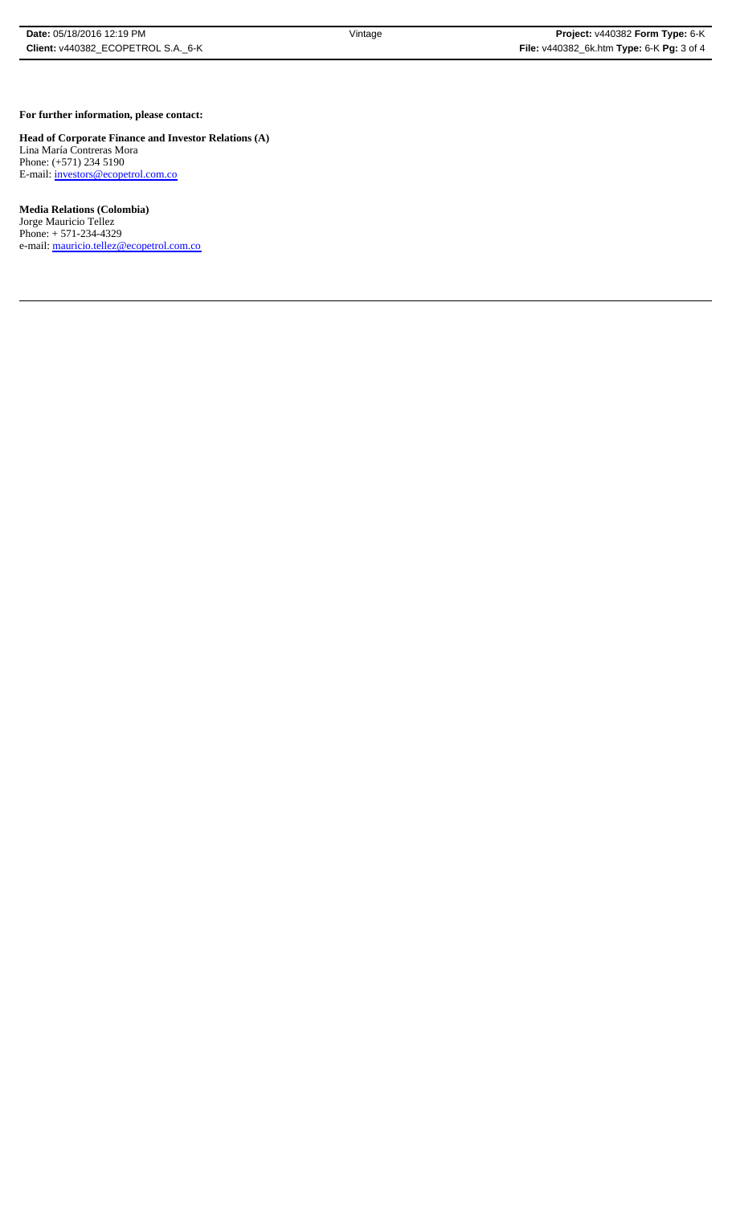#### **For further information, please contact:**

**Head of Corporate Finance and Investor Relations (A)** Lina María Contreras Mora Phone: (+571) 234 5190 E-mail: *investors@ecopetrol.com.co* 

### **Media Relations (Colombia)**

Jorge Mauricio Tellez Phone: + 571-234-4329 e-mail: mauricio.tellez@ecopetrol.com.co